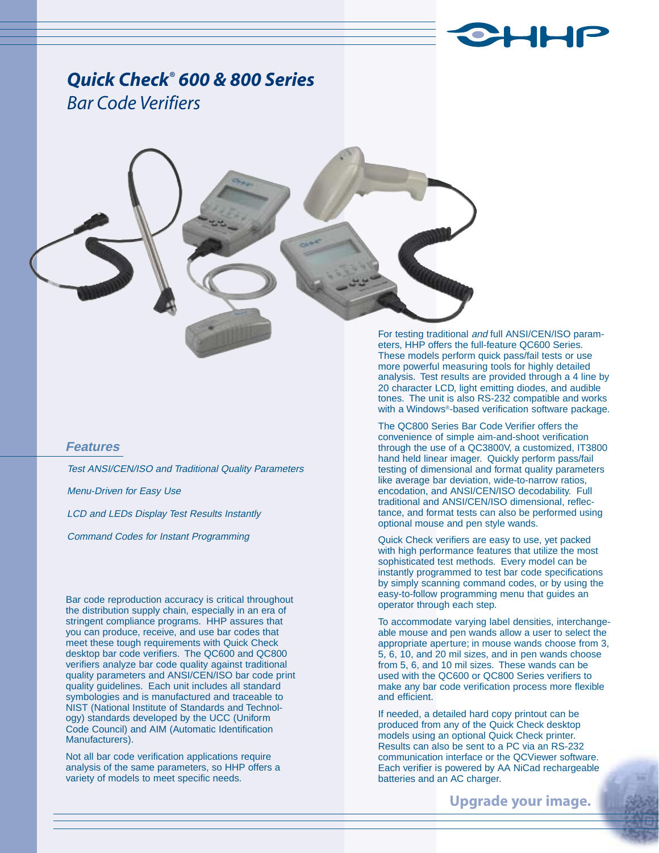

# *Quick Check® 600 & 800 Series Bar Code Verifiers*

## **Features**

Test ANSI/CEN/ISO and Traditional Quality Parameters Menu-Driven for Easy Use LCD and LEDs Display Test Results Instantly Command Codes for Instant Programming

Bar code reproduction accuracy is critical throughout the distribution supply chain, especially in an era of stringent compliance programs. HHP assures that you can produce, receive, and use bar codes that meet these tough requirements with Quick Check desktop bar code verifiers. The QC600 and QC800 verifiers analyze bar code quality against traditional quality parameters and ANSI/CEN/ISO bar code print quality guidelines. Each unit includes all standard symbologies and is manufactured and traceable to NIST (National Institute of Standards and Technology) standards developed by the UCC (Uniform Code Council) and AIM (Automatic Identification Manufacturers).

Not all bar code verification applications require analysis of the same parameters, so HHP offers a variety of models to meet specific needs.

For testing traditional and full ANSI/CEN/ISO parameters, HHP offers the full-feature QC600 Series. These models perform quick pass/fail tests or use more powerful measuring tools for highly detailed analysis. Test results are provided through a 4 line by 20 character LCD, light emitting diodes, and audible tones. The unit is also RS-232 compatible and works with a Windows®-based verification software package.

The QC800 Series Bar Code Verifier offers the convenience of simple aim-and-shoot verification through the use of a QC3800V, a customized, IT3800 hand held linear imager. Quickly perform pass/fail testing of dimensional and format quality parameters like average bar deviation, wide-to-narrow ratios, encodation, and ANSI/CEN/ISO decodability. Full traditional and ANSI/CEN/ISO dimensional, reflectance, and format tests can also be performed using optional mouse and pen style wands.

Quick Check verifiers are easy to use, yet packed with high performance features that utilize the most sophisticated test methods. Every model can be instantly programmed to test bar code specifications by simply scanning command codes, or by using the easy-to-follow programming menu that guides an operator through each step.

To accommodate varying label densities, interchangeable mouse and pen wands allow a user to select the appropriate aperture; in mouse wands choose from 3, 5, 6, 10, and 20 mil sizes, and in pen wands choose from 5, 6, and 10 mil sizes. These wands can be used with the QC600 or QC800 Series verifiers to make any bar code verification process more flexible and efficient.

If needed, a detailed hard copy printout can be produced from any of the Quick Check desktop models using an optional Quick Check printer. Results can also be sent to a PC via an RS-232 communication interface or the QCViewer software. Each verifier is powered by AA NiCad rechargeable batteries and an AC charger.

**Upgrade your image.**